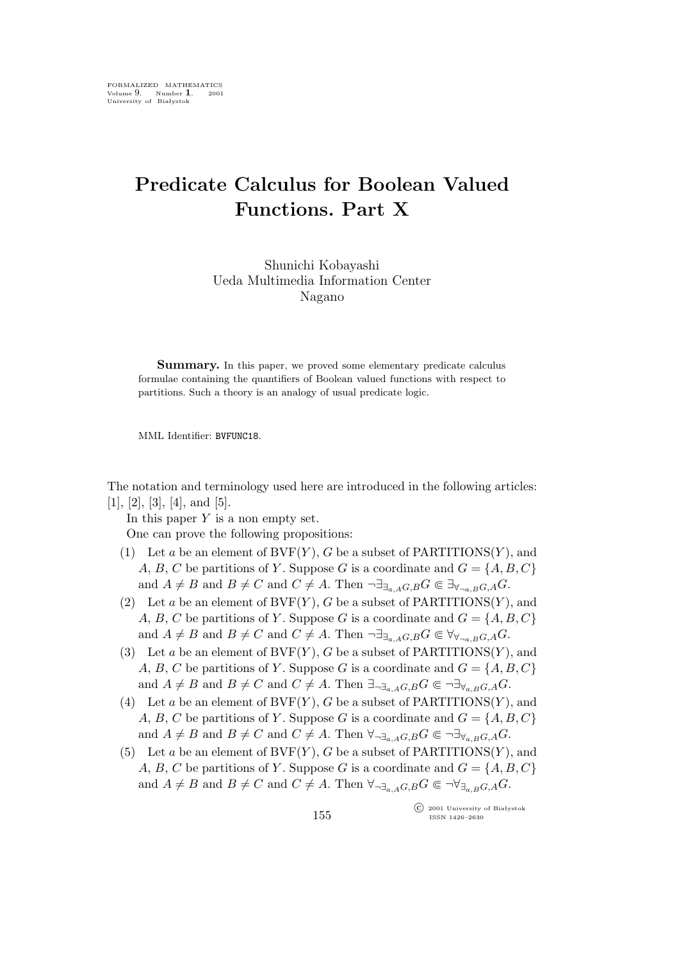## **Predicate Calculus for Boolean Valued Functions. Part X**

Shunichi Kobayashi Ueda Multimedia Information Center Nagano

**Summary.** In this paper, we proved some elementary predicate calculus formulae containing the quantifiers of Boolean valued functions with respect to partitions. Such a theory is an analogy of usual predicate logic.

MML Identifier: BVFUNC18.

The notation and terminology used here are introduced in the following articles:  $[1], [2], [3], [4], \text{and } [5].$ 

In this paper  $Y$  is a non empty set. One can prove the following propositions:

- (1) Let a be an element of  $BVF(Y)$ , G be a subset of PARTITIONS $(Y)$ , and A, B, C be partitions of Y. Suppose G is a coordinate and  $G = \{A, B, C\}$ and  $A \neq B$  and  $B \neq C$  and  $C \neq A$ . Then  $\neg \exists_{\exists_{a,A}G,B} G \in \exists_{\forall_{\neg a,B}G,A} G$ .
- (2) Let a be an element of  $BVF(Y)$ , G be a subset of PARTITIONS $(Y)$ , and A, B, C be partitions of Y. Suppose G is a coordinate and  $G = \{A, B, C\}$ and  $A \neq B$  and  $B \neq C$  and  $C \neq A$ . Then  $\neg \exists_{\exists_{a \in A} G, B} G \in \forall_{\forall_{\neg a \in B} G, A} G$ .
- (3) Let a be an element of  $BVF(Y)$ , G be a subset of PARTITIONS $(Y)$ , and A, B, C be partitions of Y. Suppose G is a coordinate and  $G = \{A, B, C\}$ and  $A \neq B$  and  $B \neq C$  and  $C \neq A$ . Then  $\exists_{\neg \exists_{a,A}G,B} G \in \neg \exists_{\forall_{a,B}G,A} G$ .
- (4) Let a be an element of  $BVF(Y)$ , G be a subset of PARTITIONS(Y), and A, B, C be partitions of Y. Suppose G is a coordinate and  $G = \{A, B, C\}$ and  $A \neq B$  and  $B \neq C$  and  $C \neq A$ . Then  $\forall_{\neg \exists_{a,A}G,B} G \in \neg \exists_{\forall_{a,B}G,A} G$ .
- (5) Let a be an element of  $BVF(Y)$ , G be a subset of PARTITIONS $(Y)$ , and A, B, C be partitions of Y. Suppose G is a coordinate and  $G = \{A, B, C\}$ and  $A \neq B$  and  $B \neq C$  and  $C \neq A$ . Then  $\forall_{\exists_{a,A}G,B}G \in \neg \forall_{\exists_{a,B}G,A}G$ .

°c 2001 University of Białystok ISSN 1426–2630